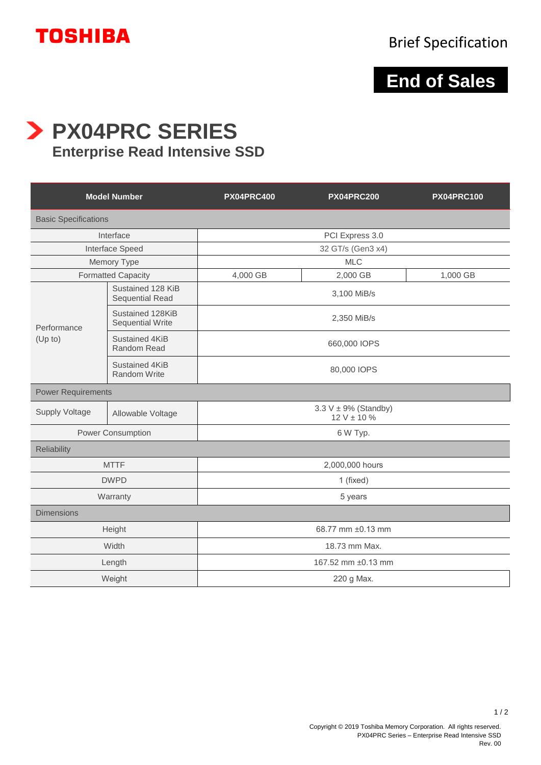

## **End of Sales**

**PX04PRC SERIES**

## **Enterprise Read Intensive SSD**

| <b>Model Number</b>         |                                             | <b>PX04PRC400</b>                             | <b>PX04PRC200</b> | <b>PX04PRC100</b> |
|-----------------------------|---------------------------------------------|-----------------------------------------------|-------------------|-------------------|
| <b>Basic Specifications</b> |                                             |                                               |                   |                   |
| Interface                   |                                             | PCI Express 3.0                               |                   |                   |
| Interface Speed             |                                             | 32 GT/s (Gen3 x4)                             |                   |                   |
| Memory Type                 |                                             | <b>MLC</b>                                    |                   |                   |
| <b>Formatted Capacity</b>   |                                             | 4,000 GB                                      | 2,000 GB          | 1,000 GB          |
| Performance<br>(Up to)      | Sustained 128 KiB<br><b>Sequential Read</b> | 3,100 MiB/s                                   |                   |                   |
|                             | Sustained 128KiB<br><b>Sequential Write</b> | 2,350 MiB/s                                   |                   |                   |
|                             | Sustained 4KiB<br>Random Read               | 660,000 IOPS                                  |                   |                   |
|                             | Sustained 4KiB<br>Random Write              | 80,000 IOPS                                   |                   |                   |
| <b>Power Requirements</b>   |                                             |                                               |                   |                   |
| Supply Voltage              | Allowable Voltage                           | $3.3 V \pm 9\%$ (Standby)<br>$12 V \pm 10 \%$ |                   |                   |
| Power Consumption           |                                             | 6 W Typ.                                      |                   |                   |
| Reliability                 |                                             |                                               |                   |                   |
| <b>MTTF</b>                 |                                             | 2,000,000 hours                               |                   |                   |
| <b>DWPD</b>                 |                                             | 1 (fixed)                                     |                   |                   |
| Warranty                    |                                             | 5 years                                       |                   |                   |
| <b>Dimensions</b>           |                                             |                                               |                   |                   |
| Height                      |                                             | 68.77 mm ±0.13 mm                             |                   |                   |
| Width                       |                                             | 18.73 mm Max.                                 |                   |                   |
| Length                      |                                             | 167.52 mm ±0.13 mm                            |                   |                   |
| Weight                      |                                             | 220 g Max.                                    |                   |                   |

 $1/2$